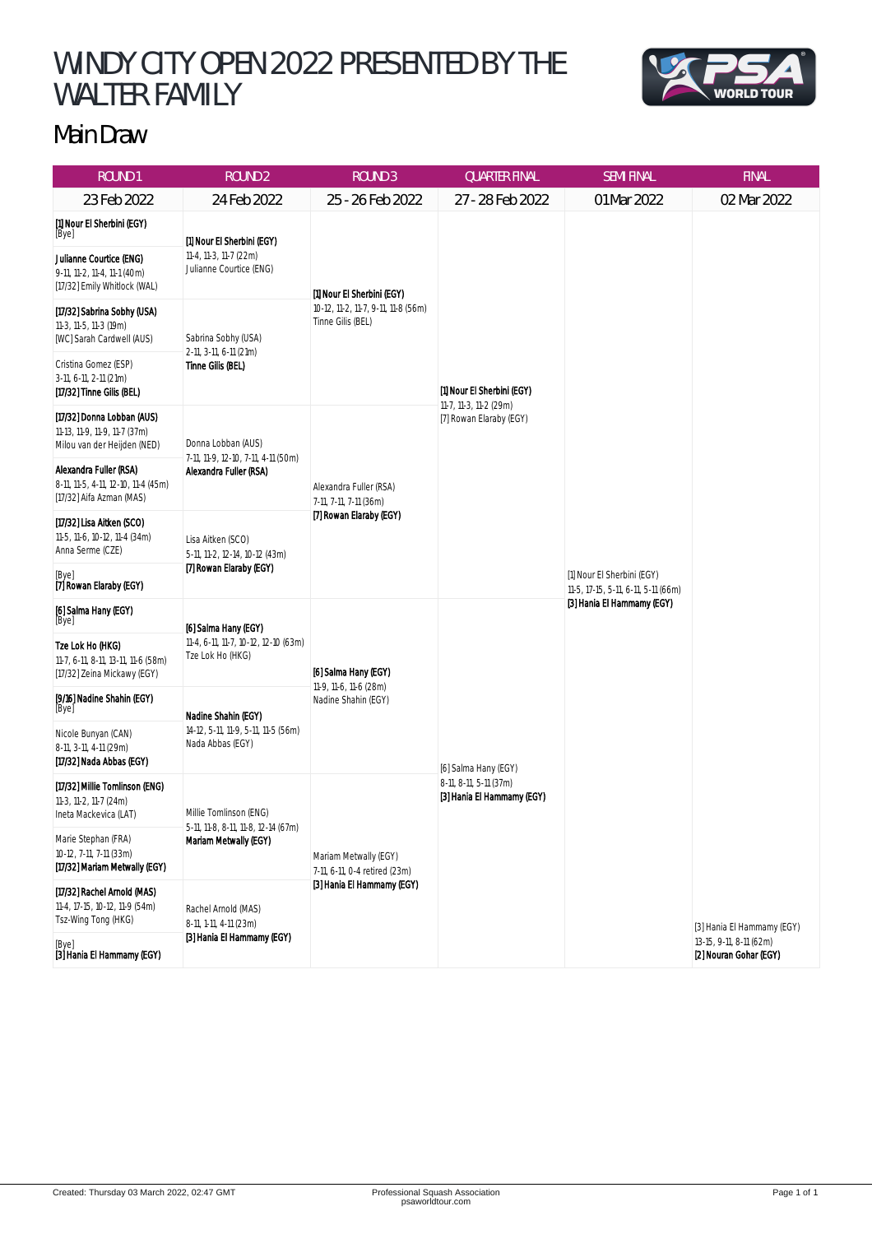## WINDY CITY OPEN 2022 PRESENTED BY THE WALTER FAMILY



## Main Draw

| <b>ROUND1</b>                                                                              | <b>ROUND 2</b>                                                                         | <b>ROUND 3</b>                                                                         | <b>QUARTER FINAL</b>                                                            | <b>SEMI FINAL</b>                                                                               | <b>FINAL</b>                                      |
|--------------------------------------------------------------------------------------------|----------------------------------------------------------------------------------------|----------------------------------------------------------------------------------------|---------------------------------------------------------------------------------|-------------------------------------------------------------------------------------------------|---------------------------------------------------|
| 23 Feb 2022                                                                                | 24 Feb 2022                                                                            | 25 - 26 Feb 2022                                                                       | 27 - 28 Feb 2022                                                                | 01 Mar 2022                                                                                     | 02 Mar 2022                                       |
| [1] Nour El Sherbini (EGY)<br>[Bye]                                                        | [1] Nour El Sherbini (EGY)<br>11-4, 11-3, 11-7 (22m)<br>Julianne Courtice (ENG)        | [1] Nour El Sherbini (EGY)<br>10-12, 11-2, 11-7, 9-11, 11-8 (56m)<br>Tinne Gilis (BEL) | [1] Nour El Sherbini (EGY)<br>11-7, 11-3, 11-2 (29m)<br>[7] Rowan Elaraby (EGY) | [1] Nour El Sherbini (EGY)<br>11-5, 17-15, 5-11, 6-11, 5-11 (66m)<br>[3] Hania El Hammamy (EGY) |                                                   |
| Julianne Courtice (ENG)<br>9-11, 11-2, 11-4, 11-1 (40m)<br>[17/32] Emily Whitlock (WAL)    |                                                                                        |                                                                                        |                                                                                 |                                                                                                 |                                                   |
| [17/32] Sabrina Sobhy (USA)<br>11-3, 11-5, 11-3 (19m)<br>[WC] Sarah Cardwell (AUS)         | Sabrina Sobhy (USA)<br>2-11, 3-11, 6-11 (21m)<br>Tinne Gilis (BEL)                     |                                                                                        |                                                                                 |                                                                                                 |                                                   |
| Cristina Gomez (ESP)<br>3-11, 6-11, 2-11 (21m)<br>[17/32] Tinne Gilis (BEL)                |                                                                                        |                                                                                        |                                                                                 |                                                                                                 |                                                   |
| [17/32] Donna Lobban (AUS)<br>11-13, 11-9, 11-9, 11-7 (37m)<br>Milou van der Heijden (NED) | Donna Lobban (AUS)<br>7-11, 11-9, 12-10, 7-11, 4-11 (50m)<br>Alexandra Fuller (RSA)    | Alexandra Fuller (RSA)<br>7-11, 7-11, 7-11 (36m)<br>[7] Rowan Elaraby (EGY)            |                                                                                 |                                                                                                 |                                                   |
| Alexandra Fuller (RSA)<br>8-11, 11-5, 4-11, 12-10, 11-4 (45m)<br>[17/32] Aifa Azman (MAS)  |                                                                                        |                                                                                        |                                                                                 |                                                                                                 |                                                   |
| [17/32] Lisa Aitken (SCO)<br>11-5, 11-6, 10-12, 11-4 (34m)<br>Anna Serme (CZE)             | Lisa Aitken (SCO)<br>5-11, 11-2, 12-14, 10-12 (43m)<br>[7] Rowan Elaraby (EGY)         |                                                                                        |                                                                                 |                                                                                                 |                                                   |
| [Bye]<br><b>[7] Rowan Elaraby (EGY)</b>                                                    |                                                                                        |                                                                                        |                                                                                 |                                                                                                 |                                                   |
| [6] Salma Hany (EGY)<br>[Bye]                                                              | [6] Salma Hany (EGY)<br>11-4, 6-11, 11-7, 10-12, 12-10 (63m)<br>Tze Lok Ho (HKG)       | [6] Salma Hany (EGY)<br>11-9, 11-6, 11-6 (28m)<br>Nadine Shahin (EGY)                  | [6] Salma Hany (EGY)<br>8-11, 8-11, 5-11 (37m)<br>[3] Hania El Hammamy (EGY)    |                                                                                                 |                                                   |
| Tze Lok Ho (HKG)<br>11-7, 6-11, 8-11, 13-11, 11-6 (58m)<br>[17/32] Zeina Mickawy (EGY)     |                                                                                        |                                                                                        |                                                                                 |                                                                                                 |                                                   |
| [9/16] Nadine Shahin (EGY)<br>[Bye]                                                        | Nadine Shahin (EGY)<br>14-12, 5-11, 11-9, 5-11, 11-5 (56m)<br>Nada Abbas (EGY)         |                                                                                        |                                                                                 |                                                                                                 |                                                   |
| Nicole Bunyan (CAN)<br>8-11, 3-11, 4-11 (29m)<br>[17/32] Nada Abbas (EGY)                  |                                                                                        |                                                                                        |                                                                                 |                                                                                                 |                                                   |
| [17/32] Millie Tomlinson (ENG)<br>11-3, 11-2, 11-7 (24m)<br>Ineta Mackevica (LAT)          | Millie Tomlinson (ENG)<br>5-11, 11-8, 8-11, 11-8, 12-14 (67m)<br>Mariam Metwally (EGY) | Mariam Metwally (EGY)<br>7-11, 6-11, 0-4 retired (23m)<br>[3] Hania El Hammamy (EGY)   |                                                                                 |                                                                                                 |                                                   |
| Marie Stephan (FRA)<br>10-12, 7-11, 7-11 (33m)<br>[17/32] Mariam Metwally (EGY)            |                                                                                        |                                                                                        |                                                                                 |                                                                                                 |                                                   |
| [17/32] Rachel Arnold (MAS)<br>11-4, 17-15, 10-12, 11-9 (54m)<br>Tsz-Wing Tong (HKG)       | Rachel Arnold (MAS)<br>8-11, 1-11, 4-11 (23m)<br>[3] Hania El Hammamy (EGY)            |                                                                                        |                                                                                 |                                                                                                 | [3] Hania El Hammamy (EGY)                        |
| [Bye]<br><b>[3] Hania El Hammamy (EGY)</b>                                                 |                                                                                        |                                                                                        |                                                                                 |                                                                                                 | 13-15, 9-11, 8-11 (62m)<br>[2] Nouran Gohar (EGY) |